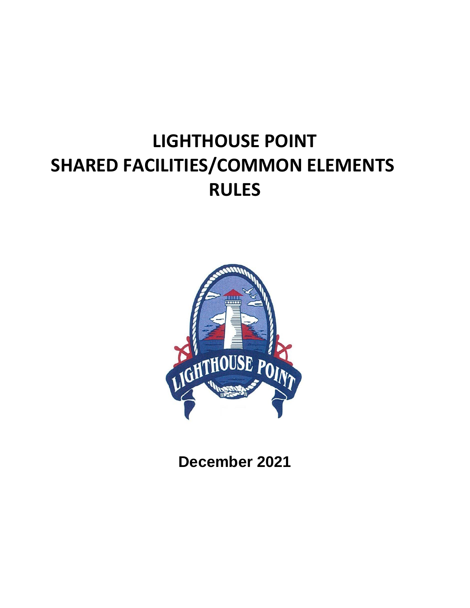# **LIGHTHOUSE POINT SHARED FACILITIES/COMMON ELEMENTS RULES**



**December 2021**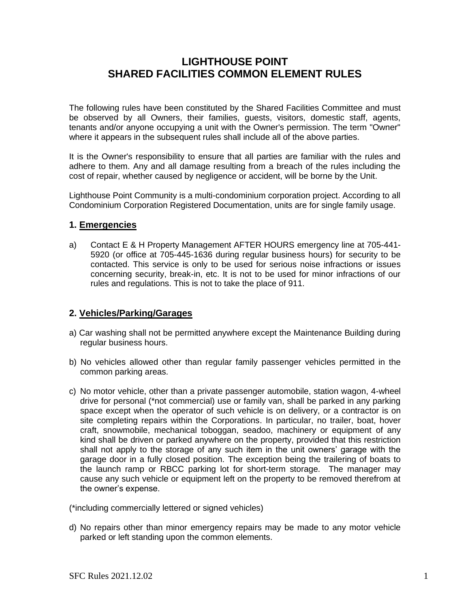# **LIGHTHOUSE POINT SHARED FACILITIES COMMON ELEMENT RULES**

The following rules have been constituted by the Shared Facilities Committee and must be observed by all Owners, their families, guests, visitors, domestic staff, agents, tenants and/or anyone occupying a unit with the Owner's permission. The term "Owner" where it appears in the subsequent rules shall include all of the above parties.

It is the Owner's responsibility to ensure that all parties are familiar with the rules and adhere to them. Any and all damage resulting from a breach of the rules including the cost of repair, whether caused by negligence or accident, will be borne by the Unit.

Lighthouse Point Community is a multi-condominium corporation project. According to all Condominium Corporation Registered Documentation, units are for single family usage.

#### **1. Emergencies**

a) Contact E & H Property Management AFTER HOURS emergency line at 705-441- 5920 (or office at 705-445-1636 during regular business hours) for security to be contacted. This service is only to be used for serious noise infractions or issues concerning security, break-in, etc. It is not to be used for minor infractions of our rules and regulations. This is not to take the place of 911.

# **2. Vehicles/Parking/Garages**

- a) Car washing shall not be permitted anywhere except the Maintenance Building during regular business hours.
- b) No vehicles allowed other than regular family passenger vehicles permitted in the common parking areas.
- c) No motor vehicle, other than a private passenger automobile, station wagon, 4-wheel drive for personal (\*not commercial) use or family van, shall be parked in any parking space except when the operator of such vehicle is on delivery, or a contractor is on site completing repairs within the Corporations. In particular, no trailer, boat, hover craft, snowmobile, mechanical toboggan, seadoo, machinery or equipment of any kind shall be driven or parked anywhere on the property, provided that this restriction shall not apply to the storage of any such item in the unit owners' garage with the garage door in a fully closed position. The exception being the trailering of boats to the launch ramp or RBCC parking lot for short-term storage. The manager may cause any such vehicle or equipment left on the property to be removed therefrom at the owner's expense.

(\*including commercially lettered or signed vehicles)

d) No repairs other than minor emergency repairs may be made to any motor vehicle parked or left standing upon the common elements.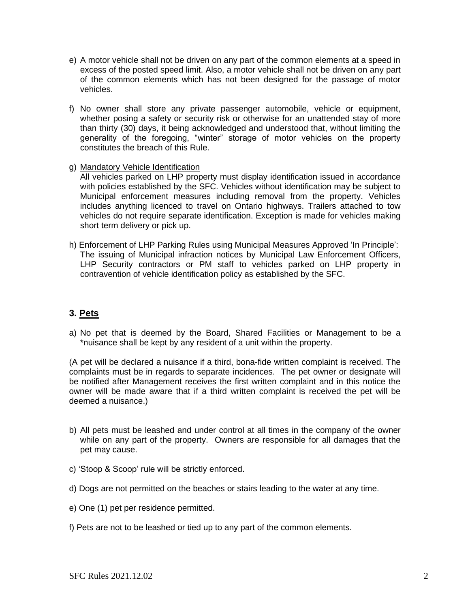- e) A motor vehicle shall not be driven on any part of the common elements at a speed in excess of the posted speed limit. Also, a motor vehicle shall not be driven on any part of the common elements which has not been designed for the passage of motor vehicles.
- f) No owner shall store any private passenger automobile, vehicle or equipment, whether posing a safety or security risk or otherwise for an unattended stay of more than thirty (30) days, it being acknowledged and understood that, without limiting the generality of the foregoing, "winter" storage of motor vehicles on the property constitutes the breach of this Rule.

#### g) Mandatory Vehicle Identification

All vehicles parked on LHP property must display identification issued in accordance with policies established by the SFC. Vehicles without identification may be subject to Municipal enforcement measures including removal from the property. Vehicles includes anything licenced to travel on Ontario highways. Trailers attached to tow vehicles do not require separate identification. Exception is made for vehicles making short term delivery or pick up.

h) Enforcement of LHP Parking Rules using Municipal Measures Approved 'In Principle': The issuing of Municipal infraction notices by Municipal Law Enforcement Officers, LHP Security contractors or PM staff to vehicles parked on LHP property in contravention of vehicle identification policy as established by the SFC.

#### **3. Pets**

a) No pet that is deemed by the Board, Shared Facilities or Management to be a \*nuisance shall be kept by any resident of a unit within the property.

(A pet will be declared a nuisance if a third, bona-fide written complaint is received. The complaints must be in regards to separate incidences. The pet owner or designate will be notified after Management receives the first written complaint and in this notice the owner will be made aware that if a third written complaint is received the pet will be deemed a nuisance.)

- b) All pets must be leashed and under control at all times in the company of the owner while on any part of the property. Owners are responsible for all damages that the pet may cause.
- c) 'Stoop & Scoop' rule will be strictly enforced.
- d) Dogs are not permitted on the beaches or stairs leading to the water at any time.
- e) One (1) pet per residence permitted.
- f) Pets are not to be leashed or tied up to any part of the common elements.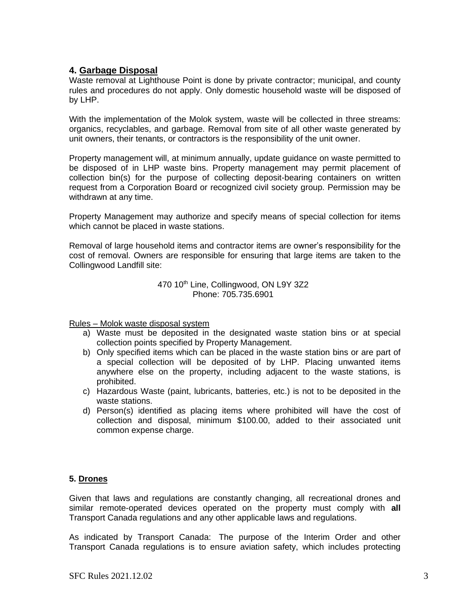#### **4. Garbage Disposal**

Waste removal at Lighthouse Point is done by private contractor; municipal, and county rules and procedures do not apply. Only domestic household waste will be disposed of by LHP.

With the implementation of the Molok system, waste will be collected in three streams: organics, recyclables, and garbage. Removal from site of all other waste generated by unit owners, their tenants, or contractors is the responsibility of the unit owner.

Property management will, at minimum annually, update guidance on waste permitted to be disposed of in LHP waste bins. Property management may permit placement of collection bin(s) for the purpose of collecting deposit-bearing containers on written request from a Corporation Board or recognized civil society group. Permission may be withdrawn at any time.

Property Management may authorize and specify means of special collection for items which cannot be placed in waste stations.

Removal of large household items and contractor items are owner's responsibility for the cost of removal. Owners are responsible for ensuring that large items are taken to the Collingwood Landfill site:

> 470 10<sup>th</sup> Line, Collingwood, ON L9Y 3Z2 Phone: 705.735.6901

Rules – Molok waste disposal system

- a) Waste must be deposited in the designated waste station bins or at special collection points specified by Property Management.
- b) Only specified items which can be placed in the waste station bins or are part of a special collection will be deposited of by LHP. Placing unwanted items anywhere else on the property, including adjacent to the waste stations, is prohibited.
- c) Hazardous Waste (paint, lubricants, batteries, etc.) is not to be deposited in the waste stations.
- d) Person(s) identified as placing items where prohibited will have the cost of collection and disposal, minimum \$100.00, added to their associated unit common expense charge.

#### **5. Drones**

Given that laws and regulations are constantly changing, all recreational drones and similar remote-operated devices operated on the property must comply with **all**  Transport Canada regulations and any other applicable laws and regulations.

As indicated by Transport Canada: The purpose of the Interim Order and other Transport Canada regulations is to ensure aviation safety, which includes protecting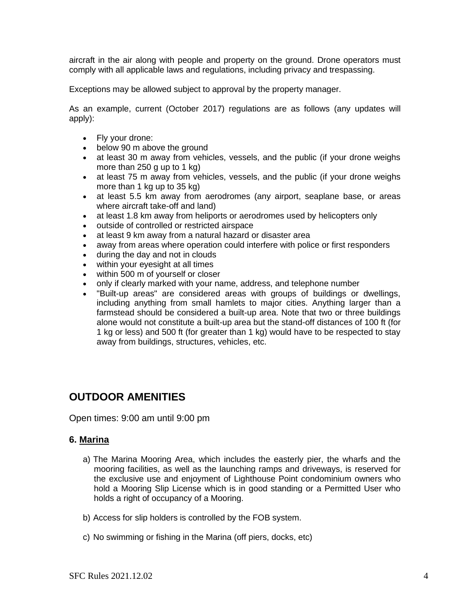aircraft in the air along with people and property on the ground. Drone operators must comply with all applicable laws and regulations, including privacy and trespassing.

Exceptions may be allowed subject to approval by the property manager.

As an example, current (October 2017) regulations are as follows (any updates will apply):

- Fly your drone:
- below 90 m above the ground
- at least 30 m away from vehicles, vessels, and the public (if your drone weighs more than 250 g up to 1 kg)
- at least 75 m away from vehicles, vessels, and the public (if your drone weighs more than 1 kg up to 35 kg)
- at least 5.5 km away from aerodromes (any airport, seaplane base, or areas where aircraft take-off and land)
- at least 1.8 km away from heliports or aerodromes used by helicopters only
- outside of controlled or restricted airspace
- at least 9 km away from a natural hazard or disaster area
- away from areas where operation could interfere with police or first responders
- during the day and not in clouds
- within your eyesight at all times
- within 500 m of yourself or closer
- only if clearly marked with your name, address, and telephone number
- "Built-up areas" are considered areas with groups of buildings or dwellings, including anything from small hamlets to major cities. Anything larger than a farmstead should be considered a built-up area. Note that two or three buildings alone would not constitute a built-up area but the stand-off distances of 100 ft (for 1 kg or less) and 500 ft (for greater than 1 kg) would have to be respected to stay away from buildings, structures, vehicles, etc.

# **OUTDOOR AMENITIES**

Open times: 9:00 am until 9:00 pm

#### **6. Marina**

- a) The Marina Mooring Area, which includes the easterly pier, the wharfs and the mooring facilities, as well as the launching ramps and driveways, is reserved for the exclusive use and enjoyment of Lighthouse Point condominium owners who hold a Mooring Slip License which is in good standing or a Permitted User who holds a right of occupancy of a Mooring.
- b) Access for slip holders is controlled by the FOB system.
- c) No swimming or fishing in the Marina (off piers, docks, etc)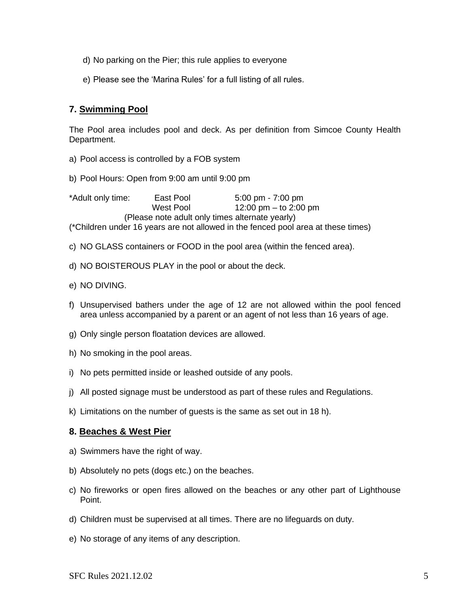- d) No parking on the Pier; this rule applies to everyone
- e) Please see the 'Marina Rules' for a full listing of all rules.

# **7. Swimming Pool**

The Pool area includes pool and deck. As per definition from Simcoe County Health Department.

- a) Pool access is controlled by a FOB system
- b) Pool Hours: Open from 9:00 am until 9:00 pm

\*Adult only time: East Pool 5:00 pm - 7:00 pm West Pool 12:00 pm – to 2:00 pm (Please note adult only times alternate yearly) (\*Children under 16 years are not allowed in the fenced pool area at these times)

- c) NO GLASS containers or FOOD in the pool area (within the fenced area).
- d) NO BOISTEROUS PLAY in the pool or about the deck.
- e) NO DIVING.
- f) Unsupervised bathers under the age of 12 are not allowed within the pool fenced area unless accompanied by a parent or an agent of not less than 16 years of age.
- g) Only single person floatation devices are allowed.
- h) No smoking in the pool areas.
- i) No pets permitted inside or leashed outside of any pools.
- j) All posted signage must be understood as part of these rules and Regulations.
- k) Limitations on the number of guests is the same as set out in 18 h).

#### **8. Beaches & West Pier**

- a) Swimmers have the right of way.
- b) Absolutely no pets (dogs etc.) on the beaches.
- c) No fireworks or open fires allowed on the beaches or any other part of Lighthouse Point.
- d) Children must be supervised at all times. There are no lifeguards on duty.
- e) No storage of any items of any description.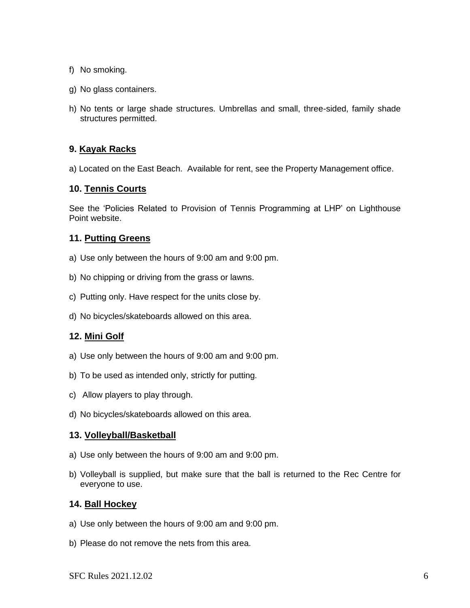- f) No smoking.
- g) No glass containers.
- h) No tents or large shade structures. Umbrellas and small, three-sided, family shade structures permitted.

#### **9. Kayak Racks**

a) Located on the East Beach. Available for rent, see the Property Management office.

#### **10. Tennis Courts**

See the 'Policies Related to Provision of Tennis Programming at LHP' on Lighthouse Point website.

#### **11. Putting Greens**

- a) Use only between the hours of 9:00 am and 9:00 pm.
- b) No chipping or driving from the grass or lawns.
- c) Putting only. Have respect for the units close by.
- d) No bicycles/skateboards allowed on this area.

#### **12. Mini Golf**

- a) Use only between the hours of 9:00 am and 9:00 pm.
- b) To be used as intended only, strictly for putting.
- c) Allow players to play through.
- d) No bicycles/skateboards allowed on this area.

#### **13. Volleyball/Basketball**

- a) Use only between the hours of 9:00 am and 9:00 pm.
- b) Volleyball is supplied, but make sure that the ball is returned to the Rec Centre for everyone to use.

#### **14. Ball Hockey**

- a) Use only between the hours of 9:00 am and 9:00 pm.
- b) Please do not remove the nets from this area.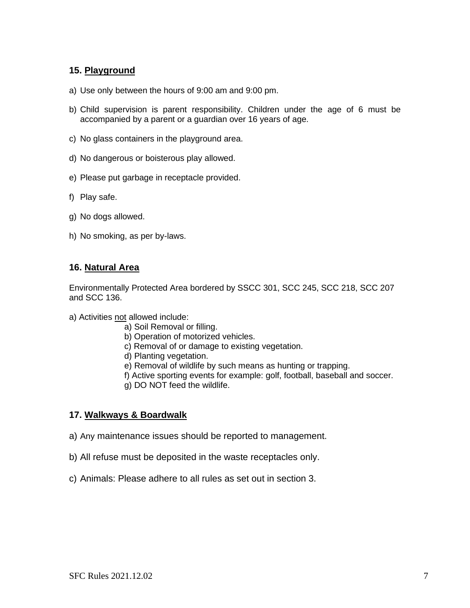#### **15. Playground**

- a) Use only between the hours of 9:00 am and 9:00 pm.
- b) Child supervision is parent responsibility. Children under the age of 6 must be accompanied by a parent or a guardian over 16 years of age.
- c) No glass containers in the playground area.
- d) No dangerous or boisterous play allowed.
- e) Please put garbage in receptacle provided.
- f) Play safe.
- g) No dogs allowed.
- h) No smoking, as per by-laws.

#### **16. Natural Area**

Environmentally Protected Area bordered by SSCC 301, SCC 245, SCC 218, SCC 207 and SCC 136.

- a) Activities not allowed include:
	- a) Soil Removal or filling.
	- b) Operation of motorized vehicles.
	- c) Removal of or damage to existing vegetation.
	- d) Planting vegetation.
	- e) Removal of wildlife by such means as hunting or trapping.
	- f) Active sporting events for example: golf, football, baseball and soccer.
	- g) DO NOT feed the wildlife.

# **17. Walkways & Boardwalk**

- a) Any maintenance issues should be reported to management.
- b) All refuse must be deposited in the waste receptacles only.
- c) Animals: Please adhere to all rules as set out in section 3.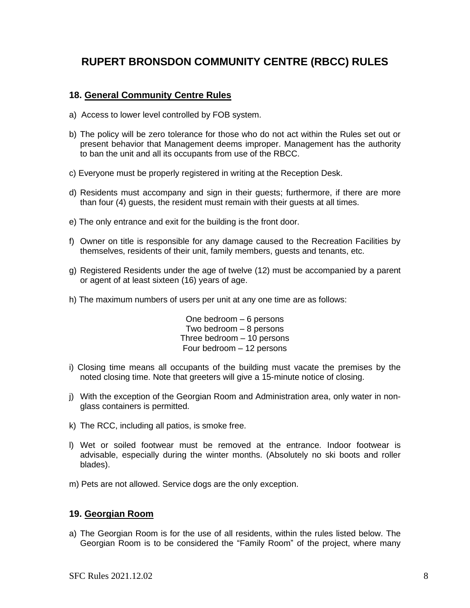# **RUPERT BRONSDON COMMUNITY CENTRE (RBCC) RULES**

#### **18. General Community Centre Rules**

- a)Access to lower level controlled by FOB system.
- b) The policy will be zero tolerance for those who do not act within the Rules set out or present behavior that Management deems improper. Management has the authority to ban the unit and all its occupants from use of the RBCC.
- c) Everyone must be properly registered in writing at the Reception Desk.
- d) Residents must accompany and sign in their guests; furthermore, if there are more than four (4) guests, the resident must remain with their guests at all times.
- e) The only entrance and exit for the building is the front door.
- f) Owner on title is responsible for any damage caused to the Recreation Facilities by themselves, residents of their unit, family members, guests and tenants, etc.
- g) Registered Residents under the age of twelve (12) must be accompanied by a parent or agent of at least sixteen (16) years of age.
- h) The maximum numbers of users per unit at any one time are as follows:

One bedroom – 6 persons Two bedroom – 8 persons Three bedroom – 10 persons Four bedroom – 12 persons

- i) Closing time means all occupants of the building must vacate the premises by the noted closing time. Note that greeters will give a 15-minute notice of closing.
- j) With the exception of the Georgian Room and Administration area, only water in nonglass containers is permitted.
- k) The RCC, including all patios, is smoke free.
- l) Wet or soiled footwear must be removed at the entrance. Indoor footwear is advisable, especially during the winter months. (Absolutely no ski boots and roller blades).
- m) Pets are not allowed. Service dogs are the only exception.

#### **19. Georgian Room**

a) The Georgian Room is for the use of all residents, within the rules listed below. The Georgian Room is to be considered the "Family Room" of the project, where many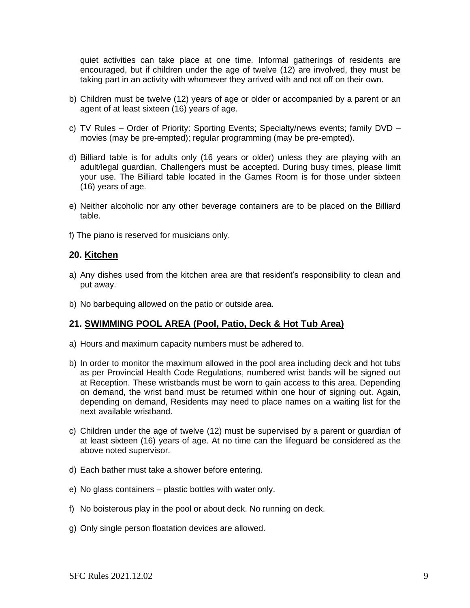quiet activities can take place at one time. Informal gatherings of residents are encouraged, but if children under the age of twelve (12) are involved, they must be taking part in an activity with whomever they arrived with and not off on their own.

- b) Children must be twelve (12) years of age or older or accompanied by a parent or an agent of at least sixteen (16) years of age.
- c) TV Rules Order of Priority: Sporting Events; Specialty/news events; family DVD movies (may be pre-empted); regular programming (may be pre-empted).
- d) Billiard table is for adults only (16 years or older) unless they are playing with an adult/legal guardian. Challengers must be accepted. During busy times, please limit your use. The Billiard table located in the Games Room is for those under sixteen (16) years of age.
- e) Neither alcoholic nor any other beverage containers are to be placed on the Billiard table.
- f) The piano is reserved for musicians only.

#### **20. Kitchen**

- a) Any dishes used from the kitchen area are that resident's responsibility to clean and put away.
- b) No barbequing allowed on the patio or outside area.

#### **21. SWIMMING POOL AREA (Pool, Patio, Deck & Hot Tub Area)**

- a) Hours and maximum capacity numbers must be adhered to.
- b) In order to monitor the maximum allowed in the pool area including deck and hot tubs as per Provincial Health Code Regulations, numbered wrist bands will be signed out at Reception. These wristbands must be worn to gain access to this area. Depending on demand, the wrist band must be returned within one hour of signing out. Again, depending on demand, Residents may need to place names on a waiting list for the next available wristband.
- c) Children under the age of twelve (12) must be supervised by a parent or guardian of at least sixteen (16) years of age. At no time can the lifeguard be considered as the above noted supervisor.
- d) Each bather must take a shower before entering.
- e) No glass containers plastic bottles with water only.
- f) No boisterous play in the pool or about deck. No running on deck.
- g) Only single person floatation devices are allowed.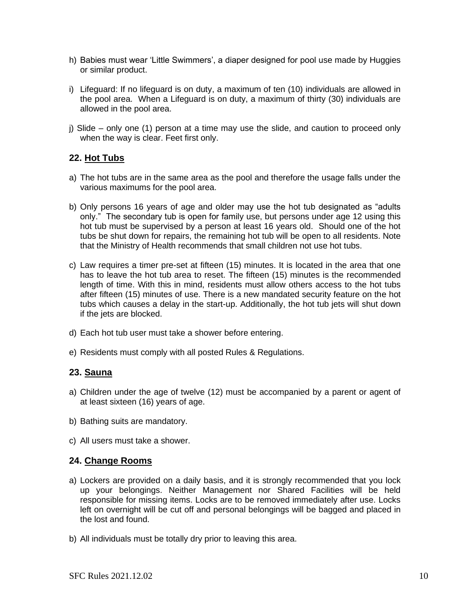- h) Babies must wear 'Little Swimmers', a diaper designed for pool use made by Huggies or similar product.
- i) Lifeguard: If no lifeguard is on duty, a maximum of ten (10) individuals are allowed in the pool area. When a Lifeguard is on duty, a maximum of thirty (30) individuals are allowed in the pool area.
- j) Slide only one (1) person at a time may use the slide, and caution to proceed only when the way is clear. Feet first only.

# **22. Hot Tubs**

- a) The hot tubs are in the same area as the pool and therefore the usage falls under the various maximums for the pool area.
- b) Only persons 16 years of age and older may use the hot tub designated as "adults only." The secondary tub is open for family use, but persons under age 12 using this hot tub must be supervised by a person at least 16 years old. Should one of the hot tubs be shut down for repairs, the remaining hot tub will be open to all residents. Note that the Ministry of Health recommends that small children not use hot tubs.
- c) Law requires a timer pre-set at fifteen (15) minutes. It is located in the area that one has to leave the hot tub area to reset. The fifteen (15) minutes is the recommended length of time. With this in mind, residents must allow others access to the hot tubs after fifteen (15) minutes of use. There is a new mandated security feature on the hot tubs which causes a delay in the start-up. Additionally, the hot tub jets will shut down if the jets are blocked.
- d) Each hot tub user must take a shower before entering.
- e) Residents must comply with all posted Rules & Regulations.

#### **23. Sauna**

- a) Children under the age of twelve (12) must be accompanied by a parent or agent of at least sixteen (16) years of age.
- b) Bathing suits are mandatory.
- c) All users must take a shower.

# **24. Change Rooms**

- a) Lockers are provided on a daily basis, and it is strongly recommended that you lock up your belongings. Neither Management nor Shared Facilities will be held responsible for missing items. Locks are to be removed immediately after use. Locks left on overnight will be cut off and personal belongings will be bagged and placed in the lost and found.
- b) All individuals must be totally dry prior to leaving this area.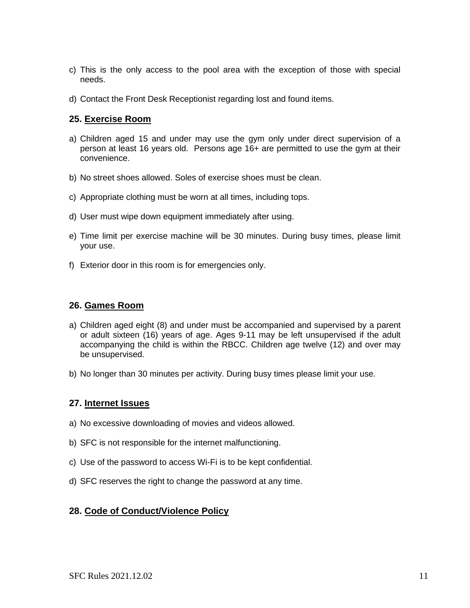- c) This is the only access to the pool area with the exception of those with special needs.
- d) Contact the Front Desk Receptionist regarding lost and found items.

#### **25. Exercise Room**

- a) Children aged 15 and under may use the gym only under direct supervision of a person at least 16 years old. Persons age 16+ are permitted to use the gym at their convenience.
- b) No street shoes allowed. Soles of exercise shoes must be clean.
- c) Appropriate clothing must be worn at all times, including tops.
- d) User must wipe down equipment immediately after using.
- e) Time limit per exercise machine will be 30 minutes. During busy times, please limit your use.
- f) Exterior door in this room is for emergencies only.

#### **26. Games Room**

- a) Children aged eight (8) and under must be accompanied and supervised by a parent or adult sixteen (16) years of age. Ages 9-11 may be left unsupervised if the adult accompanying the child is within the RBCC. Children age twelve (12) and over may be unsupervised.
- b) No longer than 30 minutes per activity. During busy times please limit your use.

#### **27. Internet Issues**

- a) No excessive downloading of movies and videos allowed.
- b) SFC is not responsible for the internet malfunctioning.
- c) Use of the password to access Wi-Fi is to be kept confidential.
- d) SFC reserves the right to change the password at any time.

#### **28. Code of Conduct/Violence Policy**